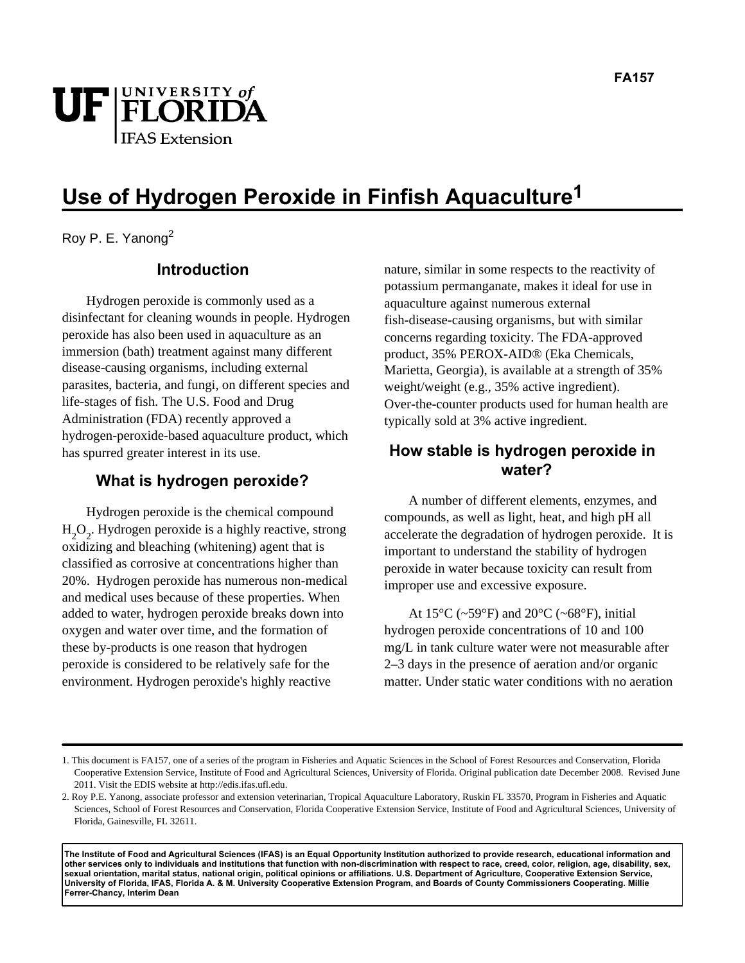

# **Use of Hydrogen Peroxide in Finfish Aquaculture1**

Roy P. E. Yanong<sup>2</sup>

### **Introduction**

Hydrogen peroxide is commonly used as a disinfectant for cleaning wounds in people. Hydrogen peroxide has also been used in aquaculture as an immersion (bath) treatment against many different disease-causing organisms, including external parasites, bacteria, and fungi, on different species and life-stages of fish. The U.S. Food and Drug Administration (FDA) recently approved a hydrogen-peroxide-based aquaculture product, which has spurred greater interest in its use.

### **What is hydrogen peroxide?**

Hydrogen peroxide is the chemical compound  $H_2O_2$ . Hydrogen peroxide is a highly reactive, strong oxidizing and bleaching (whitening) agent that is classified as corrosive at concentrations higher than 20%. Hydrogen peroxide has numerous non-medical and medical uses because of these properties. When added to water, hydrogen peroxide breaks down into oxygen and water over time, and the formation of these by-products is one reason that hydrogen peroxide is considered to be relatively safe for the environment. Hydrogen peroxide's highly reactive

nature, similar in some respects to the reactivity of potassium permanganate, makes it ideal for use in aquaculture against numerous external fish-disease-causing organisms, but with similar concerns regarding toxicity. The FDA-approved product, 35% PEROX-AID® (Eka Chemicals, Marietta, Georgia), is available at a strength of 35% weight/weight (e.g., 35% active ingredient). Over-the-counter products used for human health are typically sold at 3% active ingredient.

## **How stable is hydrogen peroxide in water?**

A number of different elements, enzymes, and compounds, as well as light, heat, and high pH all accelerate the degradation of hydrogen peroxide. It is important to understand the stability of hydrogen peroxide in water because toxicity can result from improper use and excessive exposure.

At  $15^{\circ}$ C (~59°F) and  $20^{\circ}$ C (~68°F), initial hydrogen peroxide concentrations of 10 and 100 mg/L in tank culture water were not measurable after 2–3 days in the presence of aeration and/or organic matter. Under static water conditions with no aeration

**The Institute of Food and Agricultural Sciences (IFAS) is an Equal Opportunity Institution authorized to provide research, educational information and other services only to individuals and institutions that function with non-discrimination with respect to race, creed, color, religion, age, disability, sex, sexual orientation, marital status, national origin, political opinions or affiliations. U.S. Department of Agriculture, Cooperative Extension Service, University of Florida, IFAS, Florida A. & M. University Cooperative Extension Program, and Boards of County Commissioners Cooperating. Millie Ferrer-Chancy, Interim Dean**

<sup>1.</sup> This document is FA157, one of a series of the program in Fisheries and Aquatic Sciences in the School of Forest Resources and Conservation, Florida Cooperative Extension Service, Institute of Food and Agricultural Sciences, University of Florida. Original publication date December 2008. Revised June 2011. Visit the EDIS website at http://edis.ifas.ufl.edu.

<sup>2.</sup> Roy P.E. Yanong, associate professor and extension veterinarian, Tropical Aquaculture Laboratory, Ruskin FL 33570, Program in Fisheries and Aquatic Sciences, School of Forest Resources and Conservation, Florida Cooperative Extension Service, Institute of Food and Agricultural Sciences, University of Florida, Gainesville, FL 32611.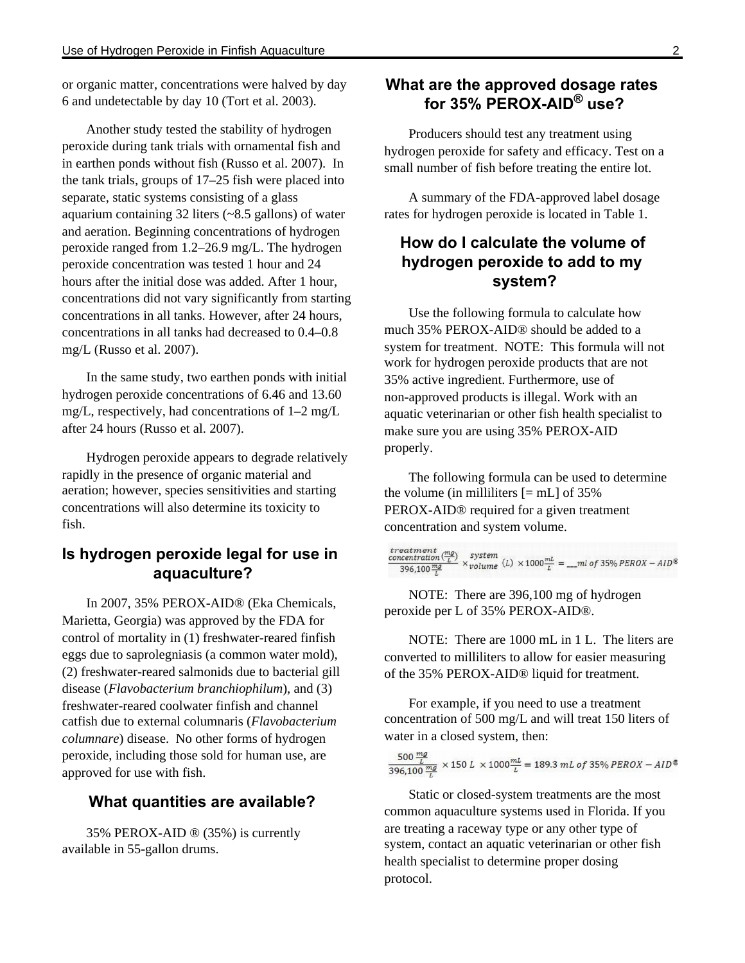or organic matter, concentrations were halved by day 6 and undetectable by day 10 (Tort et al. 2003).

Another study tested the stability of hydrogen peroxide during tank trials with ornamental fish and in earthen ponds without fish (Russo et al. 2007). In the tank trials, groups of 17–25 fish were placed into separate, static systems consisting of a glass aquarium containing 32 liters (~8.5 gallons) of water and aeration. Beginning concentrations of hydrogen peroxide ranged from 1.2–26.9 mg/L. The hydrogen peroxide concentration was tested 1 hour and 24 hours after the initial dose was added. After 1 hour, concentrations did not vary significantly from starting concentrations in all tanks. However, after 24 hours, concentrations in all tanks had decreased to 0.4–0.8 mg/L (Russo et al. 2007).

In the same study, two earthen ponds with initial hydrogen peroxide concentrations of 6.46 and 13.60 mg/L, respectively, had concentrations of 1–2 mg/L after 24 hours (Russo et al. 2007).

Hydrogen peroxide appears to degrade relatively rapidly in the presence of organic material and aeration; however, species sensitivities and starting concentrations will also determine its toxicity to fish.

# **Is hydrogen peroxide legal for use in aquaculture?**

In 2007, 35% PEROX-AID® (Eka Chemicals, Marietta, Georgia) was approved by the FDA for control of mortality in (1) freshwater-reared finfish eggs due to saprolegniasis (a common water mold), (2) freshwater-reared salmonids due to bacterial gill disease (*Flavobacterium branchiophilum*), and (3) freshwater-reared coolwater finfish and channel catfish due to external columnaris (*Flavobacterium columnare*) disease. No other forms of hydrogen peroxide, including those sold for human use, are approved for use with fish.

### **What quantities are available?**

35% PEROX-AID ® (35%) is currently available in 55-gallon drums.

# **What are the approved dosage rates for 35% PEROX-AID® use?**

Producers should test any treatment using hydrogen peroxide for safety and efficacy. Test on a small number of fish before treating the entire lot.

A summary of the FDA-approved label dosage rates for hydrogen peroxide is located in Table 1.

# **How do I calculate the volume of hydrogen peroxide to add to my system?**

Use the following formula to calculate how much 35% PEROX-AID® should be added to a system for treatment. NOTE: This formula will not work for hydrogen peroxide products that are not 35% active ingredient. Furthermore, use of non-approved products is illegal. Work with an aquatic veterinarian or other fish health specialist to make sure you are using 35% PEROX-AID properly.

The following formula can be used to determine the volume (in milliliters  $[=mL]$  of 35% PEROX-AID® required for a given treatment concentration and system volume.

|  | $\frac{treatment}{396,100\frac{mg}{L}}\times\frac{system}{volume}\ (L)\times1000\frac{mL}{L}=-mlnof~35\% PEROX-AID^{\text{\textregistered}}$ |
|--|----------------------------------------------------------------------------------------------------------------------------------------------|
|  |                                                                                                                                              |

NOTE: There are 396,100 mg of hydrogen peroxide per L of 35% PEROX-AID®.

NOTE: There are 1000 mL in 1 L. The liters are converted to milliliters to allow for easier measuring of the 35% PEROX-AID® liquid for treatment.

For example, if you need to use a treatment concentration of 500 mg/L and will treat 150 liters of water in a closed system, then:

 $\frac{500 \frac{mg}{L}}{396,100 \frac{mg}{L}} \times 150 L \times 1000 \frac{mL}{L} = 189.3 mL of 35\% PEROX - AID^*$ 

Static or closed-system treatments are the most common aquaculture systems used in Florida. If you are treating a raceway type or any other type of system, contact an aquatic veterinarian or other fish health specialist to determine proper dosing protocol.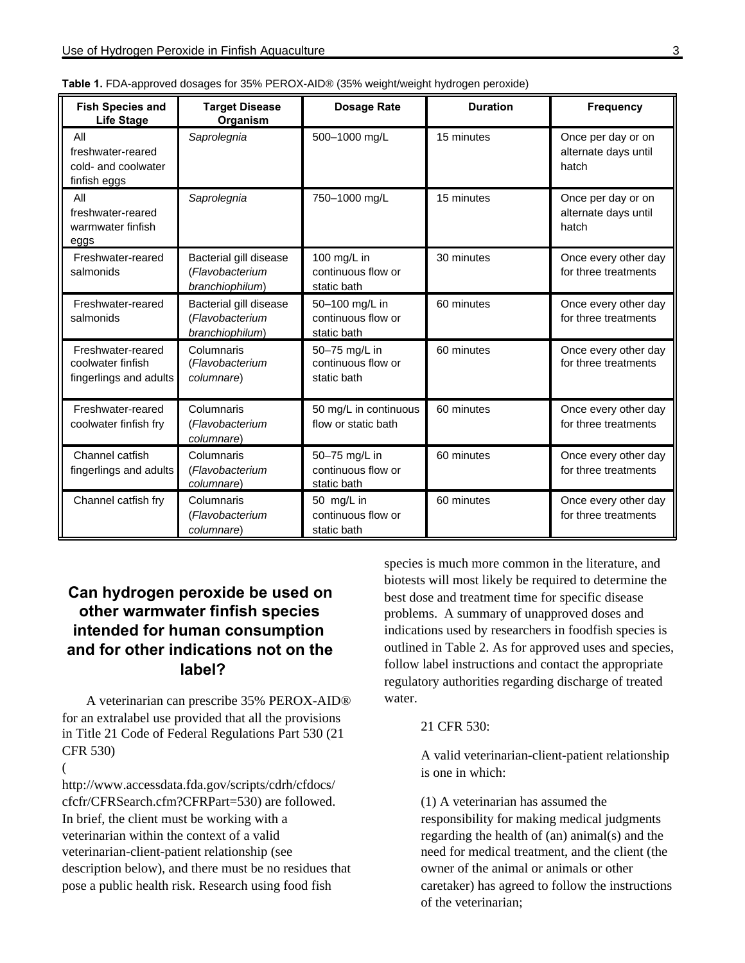| <b>Fish Species and</b><br><b>Life Stage</b>                     | <b>Target Disease</b><br>Organism                            | <b>Dosage Rate</b>                                  | <b>Duration</b> | <b>Frequency</b>                                    |
|------------------------------------------------------------------|--------------------------------------------------------------|-----------------------------------------------------|-----------------|-----------------------------------------------------|
| All<br>freshwater-reared<br>cold- and coolwater<br>finfish eggs  | Saprolegnia                                                  | 500-1000 mg/L                                       | 15 minutes      | Once per day or on<br>alternate days until<br>hatch |
| All<br>freshwater-reared<br>warmwater finfish<br>eggs            | Saprolegnia                                                  | 750-1000 mg/L                                       | 15 minutes      | Once per day or on<br>alternate days until<br>hatch |
| Freshwater-reared<br>salmonids                                   | Bacterial gill disease<br>(Flavobacterium<br>branchiophilum) | 100 mg/L in<br>continuous flow or<br>static bath    | 30 minutes      | Once every other day<br>for three treatments        |
| Freshwater-reared<br>salmonids                                   | Bacterial gill disease<br>(Flavobacterium<br>branchiophilum) | 50-100 mg/L in<br>continuous flow or<br>static bath | 60 minutes      | Once every other day<br>for three treatments        |
| Freshwater-reared<br>coolwater finfish<br>fingerlings and adults | Columnaris<br>(Flavobacterium<br>columnare)                  | 50-75 mg/L in<br>continuous flow or<br>static bath  | 60 minutes      | Once every other day<br>for three treatments        |
| Freshwater-reared<br>coolwater finfish fry                       | Columnaris<br>(Flavobacterium<br>columnare)                  | 50 mg/L in continuous<br>flow or static bath        | 60 minutes      | Once every other day<br>for three treatments        |
| Channel catfish<br>fingerlings and adults                        | Columnaris<br>(Flavobacterium<br>columnare)                  | 50-75 mg/L in<br>continuous flow or<br>static bath  | 60 minutes      | Once every other day<br>for three treatments        |
| Channel catfish fry                                              | Columnaris<br>(Flavobacterium<br>columnare)                  | 50 mg/L in<br>continuous flow or<br>static bath     |                 | Once every other day<br>for three treatments        |

| Table 1. FDA-approved dosages for 35% PEROX-AID® (35% weight/weight hydrogen peroxide) |  |
|----------------------------------------------------------------------------------------|--|
|----------------------------------------------------------------------------------------|--|

# **Can hydrogen peroxide be used on other warmwater finfish species intended for human consumption and for other indications not on the label?**

A veterinarian can prescribe 35% PEROX-AID® for an extralabel use provided that all the provisions in Title 21 Code of Federal Regulations Part 530 (21 CFR 530)

(

http://www.accessdata.fda.gov/scripts/cdrh/cfdocs/ cfcfr/CFRSearch.cfm?CFRPart=530) are followed. In brief, the client must be working with a veterinarian within the context of a valid veterinarian-client-patient relationship (see description below), and there must be no residues that pose a public health risk. Research using food fish

species is much more common in the literature, and biotests will most likely be required to determine the best dose and treatment time for specific disease problems. A summary of unapproved doses and indications used by researchers in foodfish species is outlined in Table 2. As for approved uses and species, follow label instructions and contact the appropriate regulatory authorities regarding discharge of treated water.

#### 21 CFR 530:

A valid veterinarian-client-patient relationship is one in which:

(1) A veterinarian has assumed the responsibility for making medical judgments regarding the health of (an) animal(s) and the need for medical treatment, and the client (the owner of the animal or animals or other caretaker) has agreed to follow the instructions of the veterinarian;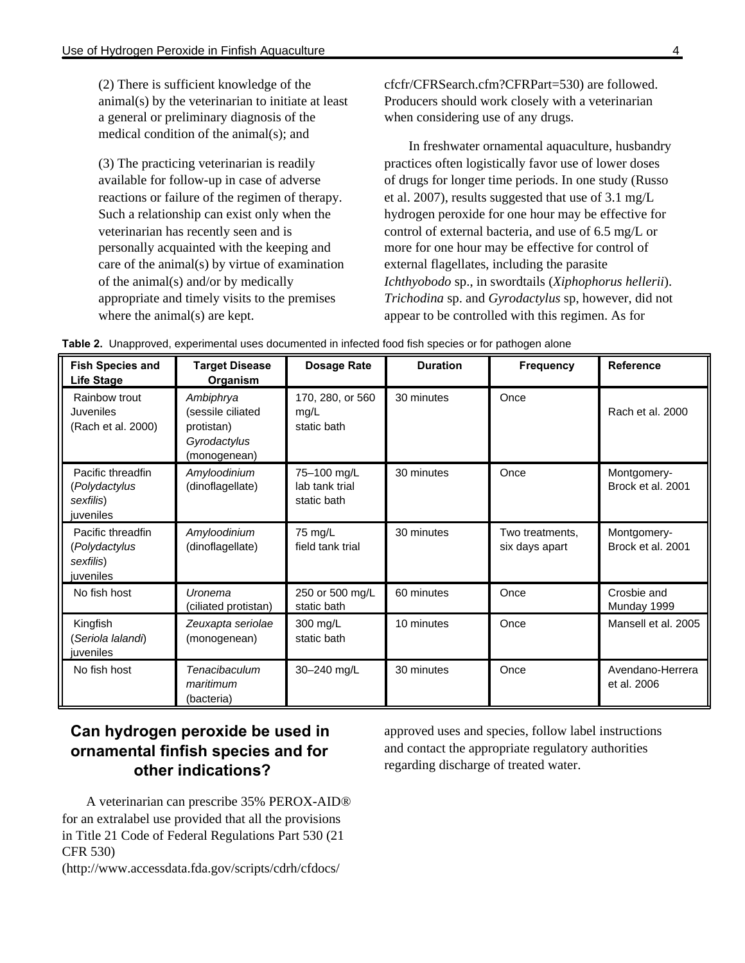(2) There is sufficient knowledge of the animal(s) by the veterinarian to initiate at least a general or preliminary diagnosis of the medical condition of the animal(s); and

(3) The practicing veterinarian is readily available for follow-up in case of adverse reactions or failure of the regimen of therapy. Such a relationship can exist only when the veterinarian has recently seen and is personally acquainted with the keeping and care of the animal(s) by virtue of examination of the animal(s) and/or by medically appropriate and timely visits to the premises where the animal(s) are kept.

cfcfr/CFRSearch.cfm?CFRPart=530) are followed. Producers should work closely with a veterinarian when considering use of any drugs.

In freshwater ornamental aquaculture, husbandry practices often logistically favor use of lower doses of drugs for longer time periods. In one study (Russo et al. 2007), results suggested that use of 3.1 mg/L hydrogen peroxide for one hour may be effective for control of external bacteria, and use of 6.5 mg/L or more for one hour may be effective for control of external flagellates, including the parasite *Ichthyobodo* sp., in swordtails (*Xiphophorus hellerii*). *Trichodina* sp. and *Gyrodactylus* sp, however, did not appear to be controlled with this regimen. As for

| <b>Fish Species and</b><br><b>Life Stage</b>                 | Target Disease<br>Organism                                                   | <b>Dosage Rate</b>                           | <b>Duration</b> | <b>Frequency</b>                  | <b>Reference</b>                 |
|--------------------------------------------------------------|------------------------------------------------------------------------------|----------------------------------------------|-----------------|-----------------------------------|----------------------------------|
| Rainbow trout<br>Juveniles<br>(Rach et al. 2000)             | Ambiphrya<br>(sessile ciliated<br>protistan)<br>Gyrodactylus<br>(monogenean) | 170, 280, or 560<br>mg/L<br>static bath      | 30 minutes      | Once                              | Rach et al. 2000                 |
| Pacific threadfin<br>(Polydactylus<br>sexfilis)<br>juveniles | Amyloodinium<br>(dinoflagellate)                                             | 75-100 mg/L<br>lab tank trial<br>static bath | 30 minutes      | Once                              | Montgomery-<br>Brock et al. 2001 |
| Pacific threadfin<br>(Polydactylus<br>sexfilis)<br>juveniles | Amyloodinium<br>(dinoflagellate)                                             | 75 mg/L<br>field tank trial                  | 30 minutes      | Two treatments,<br>six days apart | Montgomery-<br>Brock et al. 2001 |
| No fish host                                                 | Uronema<br>(ciliated protistan)                                              | 250 or 500 mg/L<br>static bath               | 60 minutes      | Once                              | Crosbie and<br>Munday 1999       |
| Kingfish<br>(Seriola lalandi)<br>juveniles                   | Zeuxapta seriolae<br>(monogenean)                                            | 300 mg/L<br>static bath                      | 10 minutes      | Once                              | Mansell et al. 2005              |
| No fish host                                                 | Tenacibaculum<br>maritimum<br>(bacteria)                                     | 30-240 mg/L                                  | 30 minutes      | Once                              | Avendano-Herrera<br>et al. 2006  |

**Table 2.** Unapproved, experimental uses documented in infected food fish species or for pathogen alone

# **Can hydrogen peroxide be used in ornamental finfish species and for other indications?**

A veterinarian can prescribe 35% PEROX-AID® for an extralabel use provided that all the provisions in Title 21 Code of Federal Regulations Part 530 (21 CFR 530)

(http://www.accessdata.fda.gov/scripts/cdrh/cfdocs/

approved uses and species, follow label instructions and contact the appropriate regulatory authorities regarding discharge of treated water.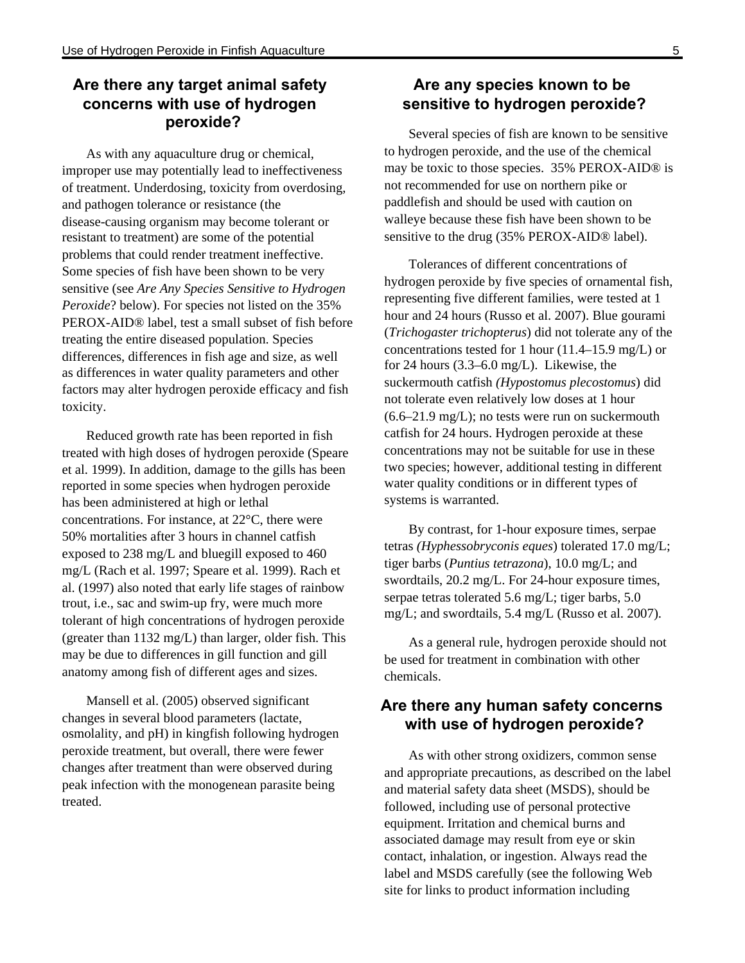# **Are there any target animal safety concerns with use of hydrogen peroxide?**

As with any aquaculture drug or chemical, improper use may potentially lead to ineffectiveness of treatment. Underdosing, toxicity from overdosing, and pathogen tolerance or resistance (the disease-causing organism may become tolerant or resistant to treatment) are some of the potential problems that could render treatment ineffective. Some species of fish have been shown to be very sensitive (see *Are Any Species Sensitive to Hydrogen Peroxide*? below). For species not listed on the 35% PEROX-AID® label, test a small subset of fish before treating the entire diseased population. Species differences, differences in fish age and size, as well as differences in water quality parameters and other factors may alter hydrogen peroxide efficacy and fish toxicity.

Reduced growth rate has been reported in fish treated with high doses of hydrogen peroxide (Speare et al. 1999). In addition, damage to the gills has been reported in some species when hydrogen peroxide has been administered at high or lethal concentrations. For instance, at 22°C, there were 50% mortalities after 3 hours in channel catfish exposed to 238 mg/L and bluegill exposed to 460 mg/L (Rach et al. 1997; Speare et al. 1999). Rach et al. (1997) also noted that early life stages of rainbow trout, i.e., sac and swim-up fry, were much more tolerant of high concentrations of hydrogen peroxide (greater than 1132 mg/L) than larger, older fish. This may be due to differences in gill function and gill anatomy among fish of different ages and sizes.

Mansell et al. (2005) observed significant changes in several blood parameters (lactate, osmolality, and pH) in kingfish following hydrogen peroxide treatment, but overall, there were fewer changes after treatment than were observed during peak infection with the monogenean parasite being treated.

### **Are any species known to be sensitive to hydrogen peroxide?**

Several species of fish are known to be sensitive to hydrogen peroxide, and the use of the chemical may be toxic to those species. 35% PEROX-AID® is not recommended for use on northern pike or paddlefish and should be used with caution on walleye because these fish have been shown to be sensitive to the drug (35% PEROX-AID® label).

Tolerances of different concentrations of hydrogen peroxide by five species of ornamental fish, representing five different families, were tested at 1 hour and 24 hours (Russo et al. 2007). Blue gourami (*Trichogaster trichopterus*) did not tolerate any of the concentrations tested for 1 hour (11.4–15.9 mg/L) or for 24 hours (3.3–6.0 mg/L). Likewise, the suckermouth catfish *(Hypostomus plecostomus*) did not tolerate even relatively low doses at 1 hour  $(6.6-21.9 \text{ mg/L})$ ; no tests were run on suckermouth catfish for 24 hours. Hydrogen peroxide at these concentrations may not be suitable for use in these two species; however, additional testing in different water quality conditions or in different types of systems is warranted.

By contrast, for 1-hour exposure times, serpae tetras *(Hyphessobryconis eques*) tolerated 17.0 mg/L; tiger barbs (*Puntius tetrazona*), 10.0 mg/L; and swordtails, 20.2 mg/L. For 24-hour exposure times, serpae tetras tolerated 5.6 mg/L; tiger barbs, 5.0 mg/L; and swordtails, 5.4 mg/L (Russo et al. 2007).

As a general rule, hydrogen peroxide should not be used for treatment in combination with other chemicals.

## **Are there any human safety concerns with use of hydrogen peroxide?**

As with other strong oxidizers, common sense and appropriate precautions, as described on the label and material safety data sheet (MSDS), should be followed, including use of personal protective equipment. Irritation and chemical burns and associated damage may result from eye or skin contact, inhalation, or ingestion. Always read the label and MSDS carefully (see the following Web site for links to product information including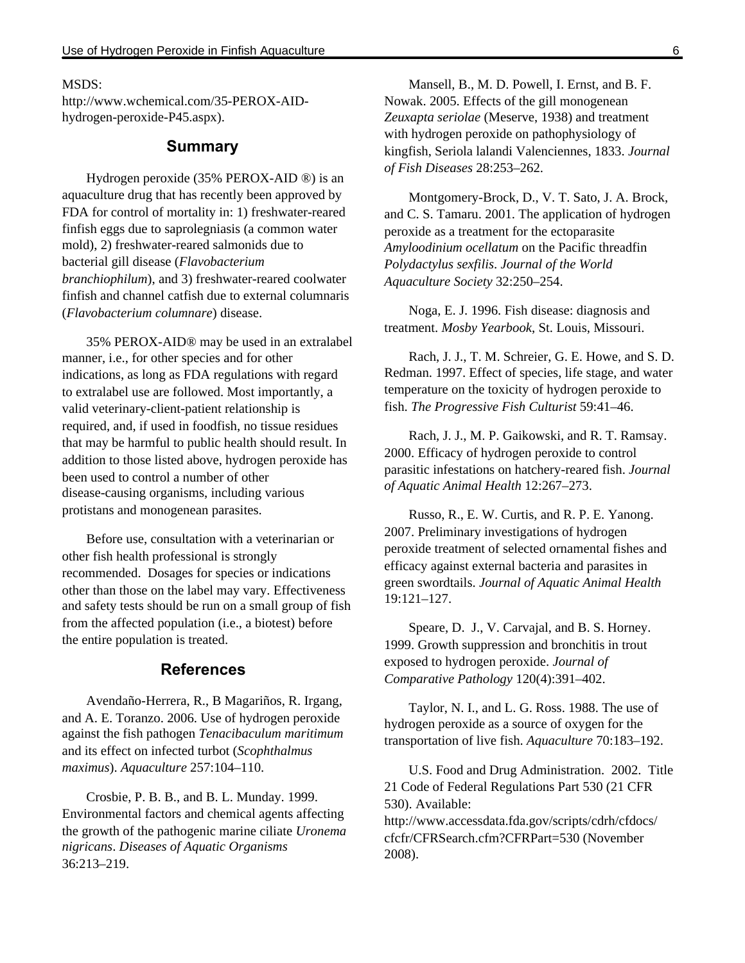#### $MSDS<sup>2</sup>$

http://www.wchemical.com/35-PEROX-AIDhydrogen-peroxide-P45.aspx).

### **Summary**

Hydrogen peroxide (35% PEROX-AID ®) is an aquaculture drug that has recently been approved by FDA for control of mortality in: 1) freshwater-reared finfish eggs due to saprolegniasis (a common water mold), 2) freshwater-reared salmonids due to bacterial gill disease (*Flavobacterium branchiophilum*), and 3) freshwater-reared coolwater finfish and channel catfish due to external columnaris (*Flavobacterium columnare*) disease.

35% PEROX-AID® may be used in an extralabel manner, i.e., for other species and for other indications, as long as FDA regulations with regard to extralabel use are followed. Most importantly, a valid veterinary-client-patient relationship is required, and, if used in foodfish, no tissue residues that may be harmful to public health should result. In addition to those listed above, hydrogen peroxide has been used to control a number of other disease-causing organisms, including various protistans and monogenean parasites.

Before use, consultation with a veterinarian or other fish health professional is strongly recommended. Dosages for species or indications other than those on the label may vary. Effectiveness and safety tests should be run on a small group of fish from the affected population (i.e., a biotest) before the entire population is treated.

#### **References**

Avendaño-Herrera, R., B Magariños, R. Irgang, and A. E. Toranzo. 2006. Use of hydrogen peroxide against the fish pathogen *Tenacibaculum maritimum* and its effect on infected turbot (*Scophthalmus maximus*). *Aquaculture* 257:104–110.

Crosbie, P. B. B., and B. L. Munday. 1999. Environmental factors and chemical agents affecting the growth of the pathogenic marine ciliate *Uronema nigricans*. *Diseases of Aquatic Organisms* 36:213–219.

Mansell, B., M. D. Powell, I. Ernst, and B. F. Nowak. 2005. Effects of the gill monogenean *Zeuxapta seriolae* (Meserve, 1938) and treatment with hydrogen peroxide on pathophysiology of kingfish, Seriola lalandi Valenciennes, 1833. *Journal of Fish Diseases* 28:253–262.

Montgomery-Brock, D., V. T. Sato, J. A. Brock, and C. S. Tamaru. 2001. The application of hydrogen peroxide as a treatment for the ectoparasite *Amyloodinium ocellatum* on the Pacific threadfin *Polydactylus sexfilis*. *Journal of the World Aquaculture Society* 32:250–254.

Noga, E. J. 1996. Fish disease: diagnosis and treatment. *Mosby Yearbook*, St. Louis, Missouri.

Rach, J. J., T. M. Schreier, G. E. Howe, and S. D. Redman. 1997. Effect of species, life stage, and water temperature on the toxicity of hydrogen peroxide to fish. *The Progressive Fish Culturist* 59:41–46.

Rach, J. J., M. P. Gaikowski, and R. T. Ramsay. 2000. Efficacy of hydrogen peroxide to control parasitic infestations on hatchery-reared fish. *Journal of Aquatic Animal Health* 12:267–273.

Russo, R., E. W. Curtis, and R. P. E. Yanong. 2007. Preliminary investigations of hydrogen peroxide treatment of selected ornamental fishes and efficacy against external bacteria and parasites in green swordtails. *Journal of Aquatic Animal Health* 19:121–127.

Speare, D. J., V. Carvajal, and B. S. Horney. 1999. Growth suppression and bronchitis in trout exposed to hydrogen peroxide. *Journal of Comparative Pathology* 120(4):391–402.

Taylor, N. I., and L. G. Ross. 1988. The use of hydrogen peroxide as a source of oxygen for the transportation of live fish. *Aquaculture* 70:183–192.

U.S. Food and Drug Administration. 2002. Title 21 Code of Federal Regulations Part 530 (21 CFR 530). Available:

http://www.accessdata.fda.gov/scripts/cdrh/cfdocs/ cfcfr/CFRSearch.cfm?CFRPart=530 (November 2008).